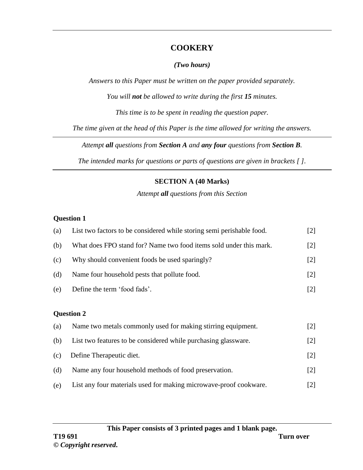### **COOKERY**

#### *(Two hours)*

*Answers to this Paper must be written on the paper provided separately.*

*You will not be allowed to write during the first 15 minutes.*

*This time is to be spent in reading the question paper.*

*The time given at the head of this Paper is the time allowed for writing the answers.*

*Attempt all questions from Section A and any four questions from Section B.*

*The intended marks for questions or parts of questions are given in brackets [ ].*

## **SECTION A (40 Marks)**

*Attempt all questions from this Section*

### **Question 1**

| (a) | List two factors to be considered while storing semi perishable food. | $\lfloor 2 \rfloor$ |
|-----|-----------------------------------------------------------------------|---------------------|
| (b) | What does FPO stand for? Name two food items sold under this mark.    | $\lceil 2 \rceil$   |
| (c) | Why should convenient foods be used sparingly?                        | [2]                 |
| (d) | Name four household pests that pollute food.                          | $\lceil 2 \rceil$   |
| (e) | Define the term 'food fads'.                                          | [2]                 |

## **Question 2**

| (a) | Name two metals commonly used for making stirring equipment.      | $\lceil 2 \rceil$ |
|-----|-------------------------------------------------------------------|-------------------|
| (b) | List two features to be considered while purchasing glassware.    | $\lceil 2 \rceil$ |
| (c) | Define Therapeutic diet.                                          | $\lceil 2 \rceil$ |
| (d) | Name any four household methods of food preservation.             | $\lceil 2 \rceil$ |
| (e) | List any four materials used for making microwave-proof cookware. | 121               |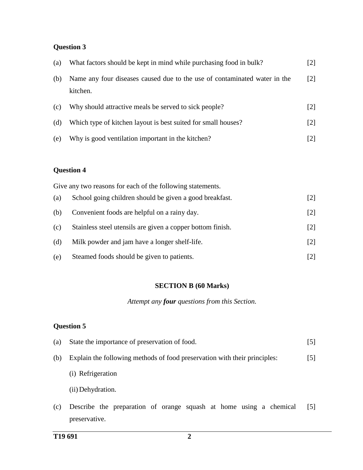### **Question 3**

| (a) | What factors should be kept in mind while purchasing food in bulk?                    | $[2]$             |
|-----|---------------------------------------------------------------------------------------|-------------------|
| (b) | Name any four diseases caused due to the use of contaminated water in the<br>kitchen. | $\lceil 2 \rceil$ |
| (c) | Why should attractive meals be served to sick people?                                 | $\lceil 2 \rceil$ |
| (d) | Which type of kitchen layout is best suited for small houses?                         | $\lceil 2 \rceil$ |
| (e) | Why is good ventilation important in the kitchen?                                     |                   |

#### **Question 4**

|     | Give any two reasons for each of the following statements. |                   |
|-----|------------------------------------------------------------|-------------------|
| (a) | School going children should be given a good breakfast.    | $[2]$             |
| (b) | Convenient foods are helpful on a rainy day.               | $\lceil 2 \rceil$ |
| (c) | Stainless steel utensils are given a copper bottom finish. | $\lceil 2 \rceil$ |
| (d) | Milk powder and jam have a longer shelf-life.              | $\lceil 2 \rceil$ |
| (e) | Steamed foods should be given to patients.                 | [2]               |

#### **SECTION B (60 Marks)**

*Attempt any four questions from this Section.*

#### **Question 5**

| (a) | State the importance of preservation of food.                             | 15 I |
|-----|---------------------------------------------------------------------------|------|
| (b) | Explain the following methods of food preservation with their principles: |      |
|     | (i) Refrigeration                                                         |      |
|     | (ii) Dehydration.                                                         |      |

(c) Describe the preparation of orange squash at home using a chemical [5]preservative.